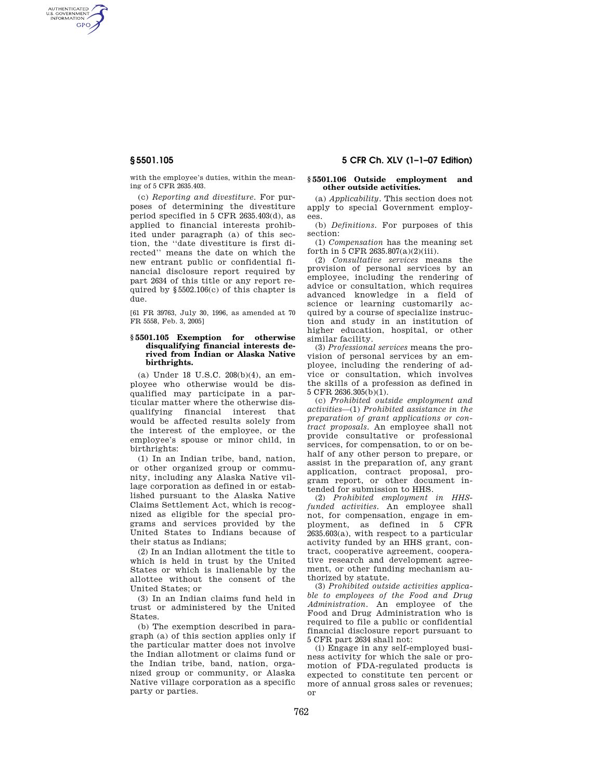AUTHENTICATED<br>U.S. GOVERNMENT<br>INFORMATION **GPO** 

> with the employee's duties, within the meaning of 5 CFR 2635.403.

> (c) *Reporting and divestiture*. For purposes of determining the divestiture period specified in 5 CFR 2635.403(d), as applied to financial interests prohibited under paragraph (a) of this section, the ''date divestiture is first directed'' means the date on which the new entrant public or confidential financial disclosure report required by part 2634 of this title or any report required by §5502.106(c) of this chapter is due.

> [61 FR 39763, July 30, 1996, as amended at 70 FR 5558, Feb. 3, 2005]

### **§ 5501.105 Exemption for otherwise disqualifying financial interests derived from Indian or Alaska Native birthrights.**

(a) Under 18 U.S.C. 208(b)(4), an employee who otherwise would be disqualified may participate in a particular matter where the otherwise disqualifying financial interest that would be affected results solely from the interest of the employee, or the employee's spouse or minor child, in birthrights:

(1) In an Indian tribe, band, nation, or other organized group or community, including any Alaska Native village corporation as defined in or established pursuant to the Alaska Native Claims Settlement Act, which is recognized as eligible for the special programs and services provided by the United States to Indians because of their status as Indians;

(2) In an Indian allotment the title to which is held in trust by the United States or which is inalienable by the allottee without the consent of the United States; or

(3) In an Indian claims fund held in trust or administered by the United States.

(b) The exemption described in paragraph (a) of this section applies only if the particular matter does not involve the Indian allotment or claims fund or the Indian tribe, band, nation, organized group or community, or Alaska Native village corporation as a specific party or parties.

# **§ 5501.105 5 CFR Ch. XLV (1–1–07 Edition)**

## **§ 5501.106 Outside employment and other outside activities.**

(a) *Applicability.* This section does not apply to special Government employees.

(b) *Definitions.* For purposes of this section:

(1) *Compensation* has the meaning set forth in 5 CFR 2635.807(a)(2)(iii).

(2) *Consultative services* means the provision of personal services by an employee, including the rendering of advice or consultation, which requires advanced knowledge in a field of science or learning customarily acquired by a course of specialize instruction and study in an institution of higher education, hospital, or other similar facility.

(3) *Professional services* means the provision of personal services by an employee, including the rendering of advice or consultation, which involves the skills of a profession as defined in 5 CFR 2636.305(b)(1).

(c) *Prohibited outside employment and activities*—(1) *Prohibited assistance in the preparation of grant applications or contract proposals.* An employee shall not provide consultative or professional services, for compensation, to or on behalf of any other person to prepare, or assist in the preparation of, any grant application, contract proposal, program report, or other document intended for submission to HHS.

(2) *Prohibited employment in HHSfunded activities.* An employee shall not, for compensation, engage in employment, as defined in 5 CFR 2635.603(a), with respect to a particular activity funded by an HHS grant, contract, cooperative agreement, cooperative research and development agreement, or other funding mechanism authorized by statute.

(3) *Prohibited outside activities applicable to employees of the Food and Drug Administration*. An employee of the Food and Drug Administration who is required to file a public or confidential financial disclosure report pursuant to 5 CFR part 2634 shall not:

(i) Engage in any self-employed business activity for which the sale or promotion of FDA-regulated products is expected to constitute ten percent or more of annual gross sales or revenues; or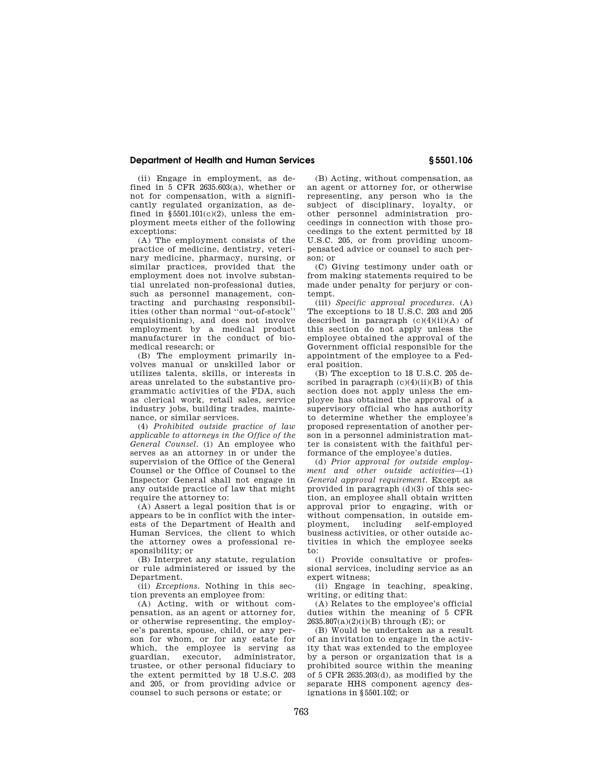# **Department of Health and Human Services § 5501.106**

(ii) Engage in employment, as defined in 5 CFR 2635.603(a), whether or not for compensation, with a significantly regulated organization, as defined in  $$5501.101(c)(2)$ , unless the employment meets either of the following exceptions:

(A) The employment consists of the practice of medicine, dentistry, veterinary medicine, pharmacy, nursing, or similar practices, provided that the employment does not involve substantial unrelated non-professional duties, such as personnel management, contracting and purchasing responsibilities (other than normal ''out-of-stock'' requisitioning), and does not involve employment by a medical product manufacturer in the conduct of biomedical research; or

(B) The employment primarily involves manual or unskilled labor or utilizes talents, skills, or interests in areas unrelated to the substantive programmatic activities of the FDA, such as clerical work, retail sales, service industry jobs, building trades, maintenance, or similar services.

(4) *Prohibited outside practice of law applicable to attorneys in the Office of the General Counsel.* (i) An employee who serves as an attorney in or under the supervision of the Office of the General Counsel or the Office of Counsel to the Inspector General shall not engage in any outside practice of law that might require the attorney to:

(A) Assert a legal position that is or appears to be in conflict with the interests of the Department of Health and Human Services, the client to which the attorney owes a professional responsibility; or

(B) Interpret any statute, regulation or rule administered or issued by the Department.

(ii) *Exceptions.* Nothing in this section prevents an employee from:

(A) Acting, with or without compensation, as an agent or attorney for, or otherwise representing, the employee's parents, spouse, child, or any person for whom, or for any estate for which, the employee is serving as guardian, executor, administrator, trustee, or other personal fiduciary to the extent permitted by 18 U.S.C. 203 and 205, or from providing advice or counsel to such persons or estate; or

(B) Acting, without compensation, as an agent or attorney for, or otherwise representing, any person who is the subject of disciplinary, loyalty, or other personnel administration proceedings in connection with those proceedings to the extent permitted by 18 U.S.C. 205, or from providing uncompensated advice or counsel to such per $son: or$ 

(C) Giving testimony under oath or from making statements required to be made under penalty for perjury or contempt.

(iii) *Specific approval procedures.* (A) The exceptions to 18 U.S.C. 203 and 205 described in paragraph  $(c)(4)(ii)(A)$  of this section do not apply unless the employee obtained the approval of the Government official responsible for the appointment of the employee to a Federal position.

(B) The exception to 18 U.S.C. 205 described in paragraph  $(c)(4)(ii)(B)$  of this section does not apply unless the employee has obtained the approval of a supervisory official who has authority to determine whether the employee's proposed representation of another person in a personnel administration matter is consistent with the faithful performance of the employee's duties.

(d) *Prior approval for outside employment and other outside activities*—(1) *General approval requirement.* Except as provided in paragraph (d)(3) of this section, an employee shall obtain written approval prior to engaging, with or without compensation, in outside em-<br>ployment including self-employed ployment, including business activities, or other outside activities in which the employee seeks to:

(i) Provide consultative or professional services, including service as an expert witness;

(ii) Engage in teaching, speaking, writing, or editing that:

(A) Relates to the employee's official duties within the meaning of 5 CFR  $2635.807(a)(2)(i)(B)$  through (E); or

(B) Would be undertaken as a result of an invitation to engage in the activity that was extended to the employee by a person or organization that is a prohibited source within the meaning of 5 CFR 2635.203(d), as modified by the separate HHS component agency designations in §5501.102; or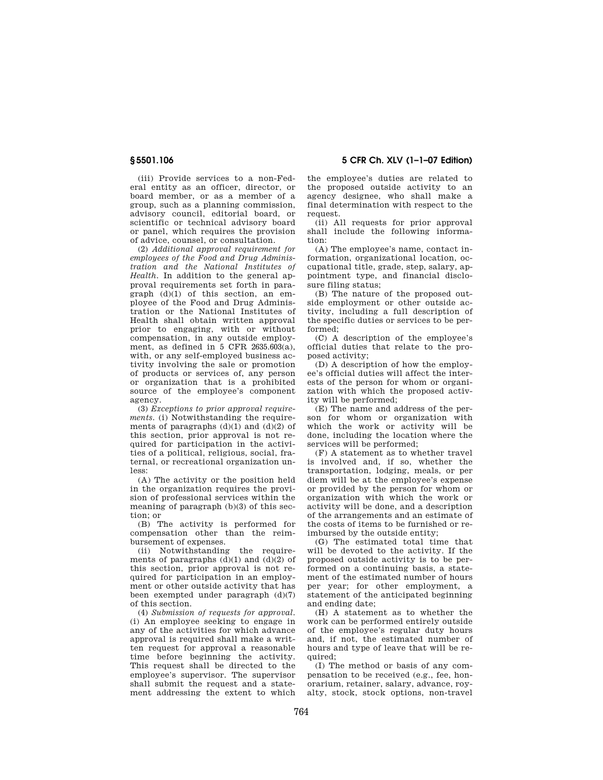**§ 5501.106 5 CFR Ch. XLV (1–1–07 Edition)** 

(iii) Provide services to a non-Federal entity as an officer, director, or board member, or as a member of a group, such as a planning commission, advisory council, editorial board, or scientific or technical advisory board or panel, which requires the provision of advice, counsel, or consultation.

(2) *Additional approval requirement for employees of the Food and Drug Administration and the National Institutes of Health.* In addition to the general approval requirements set forth in paragraph  $(d)(1)$  of this section, an employee of the Food and Drug Administration or the National Institutes of Health shall obtain written approval prior to engaging, with or without compensation, in any outside employment, as defined in 5 CFR 2635.603(a). with, or any self-employed business activity involving the sale or promotion of products or services of, any person or organization that is a prohibited source of the employee's component agency.

(3) *Exceptions to prior approval requirements.* (i) Notwithstanding the requirements of paragraphs  $(d)(1)$  and  $(d)(2)$  of this section, prior approval is not required for participation in the activities of a political, religious, social, fraternal, or recreational organization unless:

(A) The activity or the position held in the organization requires the provision of professional services within the meaning of paragraph (b)(3) of this section; or

(B) The activity is performed for compensation other than the reimbursement of expenses.

(ii) Notwithstanding the requirements of paragraphs  $(d)(1)$  and  $(d)(2)$  of this section, prior approval is not required for participation in an employment or other outside activity that has been exempted under paragraph (d)(7) of this section.

(4) *Submission of requests for approval*. (i) An employee seeking to engage in any of the activities for which advance approval is required shall make a written request for approval a reasonable time before beginning the activity. This request shall be directed to the employee's supervisor. The supervisor shall submit the request and a statement addressing the extent to which the employee's duties are related to the proposed outside activity to an agency designee, who shall make a final determination with respect to the request.

(ii) All requests for prior approval shall include the following information:

(A) The employee's name, contact information, organizational location, occupational title, grade, step, salary, appointment type, and financial disclosure filing status;

(B) The nature of the proposed outside employment or other outside activity, including a full description of the specific duties or services to be performed;

(C) A description of the employee's official duties that relate to the proposed activity;

(D) A description of how the employee's official duties will affect the interests of the person for whom or organization with which the proposed activity will be performed;

(E) The name and address of the person for whom or organization with which the work or activity will be done, including the location where the services will be performed;

(F) A statement as to whether travel is involved and, if so, whether the transportation, lodging, meals, or per diem will be at the employee's expense or provided by the person for whom or organization with which the work or activity will be done, and a description of the arrangements and an estimate of the costs of items to be furnished or reimbursed by the outside entity;

(G) The estimated total time that will be devoted to the activity. If the proposed outside activity is to be performed on a continuing basis, a statement of the estimated number of hours per year; for other employment, a statement of the anticipated beginning and ending date;

(H) A statement as to whether the work can be performed entirely outside of the employee's regular duty hours and, if not, the estimated number of hours and type of leave that will be required;

(I) The method or basis of any compensation to be received (e.g., fee, honorarium, retainer, salary, advance, royalty, stock, stock options, non-travel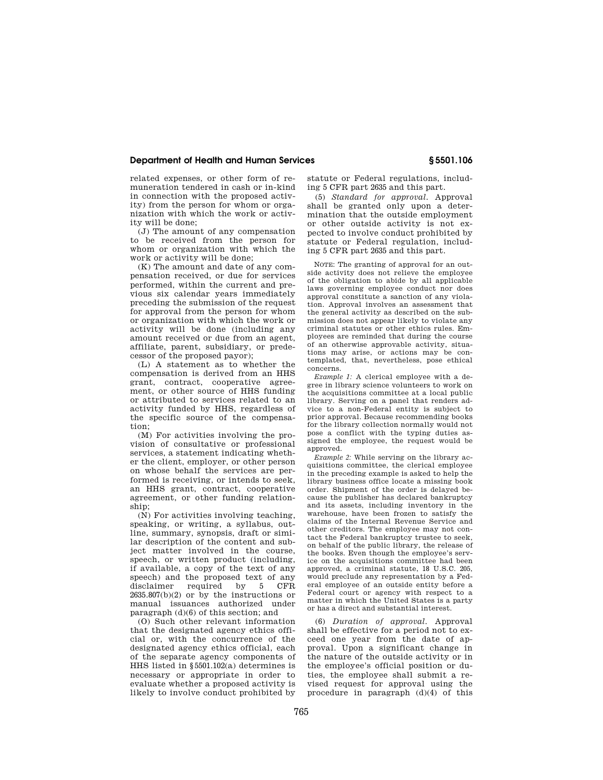## **Department of Health and Human Services § 5501.106**

related expenses, or other form of remuneration tendered in cash or in-kind in connection with the proposed activity) from the person for whom or organization with which the work or activity will be done;

(J) The amount of any compensation to be received from the person for whom or organization with which the work or activity will be done;

(K) The amount and date of any compensation received, or due for services performed, within the current and previous six calendar years immediately preceding the submission of the request for approval from the person for whom or organization with which the work or activity will be done (including any amount received or due from an agent, affiliate, parent, subsidiary, or predecessor of the proposed payor);

(L) A statement as to whether the compensation is derived from an HHS grant, contract, cooperative agreement, or other source of HHS funding or attributed to services related to an activity funded by HHS, regardless of the specific source of the compensation;

(M) For activities involving the provision of consultative or professional services, a statement indicating whether the client, employer, or other person on whose behalf the services are performed is receiving, or intends to seek an HHS grant, contract, cooperative agreement, or other funding relationship;

(N) For activities involving teaching, speaking, or writing, a syllabus, outline, summary, synopsis, draft or similar description of the content and subject matter involved in the course, speech, or written product (including, if available, a copy of the text of any speech) and the proposed text of any<br>disclaimer required by 5 CFB. disclaimer required  $2635.807(b)(2)$  or by the instructions or manual issuances authorized under paragraph (d)(6) of this section; and

(O) Such other relevant information that the designated agency ethics official or, with the concurrence of the designated agency ethics official, each of the separate agency components of HHS listed in §5501.102(a) determines is necessary or appropriate in order to evaluate whether a proposed activity is likely to involve conduct prohibited by

statute or Federal regulations, including 5 CFR part 2635 and this part.

(5) *Standard for approval*. Approval shall be granted only upon a determination that the outside employment or other outside activity is not expected to involve conduct prohibited by statute or Federal regulation, including 5 CFR part 2635 and this part.

NOTE: The granting of approval for an outside activity does not relieve the employee of the obligation to abide by all applicable laws governing employee conduct nor does approval constitute a sanction of any violation. Approval involves an assessment that the general activity as described on the submission does not appear likely to violate any criminal statutes or other ethics rules. Employees are reminded that during the course of an otherwise approvable activity, situations may arise, or actions may be contemplated, that, nevertheless, pose ethical concerns.

*Example 1:* A clerical employee with a degree in library science volunteers to work on the acquisitions committee at a local public library. Serving on a panel that renders advice to a non-Federal entity is subject to prior approval. Because recommending books for the library collection normally would not pose a conflict with the typing duties assigned the employee, the request would be approved.

*Example 2:* While serving on the library acquisitions committee, the clerical employee in the preceding example is asked to help the library business office locate a missing book order. Shipment of the order is delayed because the publisher has declared bankruptcy and its assets, including inventory in the warehouse, have been frozen to satisfy the claims of the Internal Revenue Service and other creditors. The employee may not contact the Federal bankruptcy trustee to seek, on behalf of the public library, the release of the books. Even though the employee's service on the acquisitions committee had been approved, a criminal statute, 18 U.S.C. 205, would preclude any representation by a Federal employee of an outside entity before a Federal court or agency with respect to a matter in which the United States is a party or has a direct and substantial interest.

(6) *Duration of approval*. Approval shall be effective for a period not to exceed one year from the date of approval. Upon a significant change in the nature of the outside activity or in the employee's official position or duties, the employee shall submit a revised request for approval using the procedure in paragraph  $(d)(4)$  of this